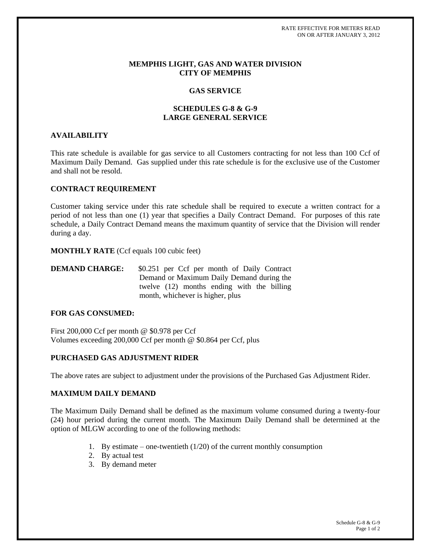#### **MEMPHIS LIGHT, GAS AND WATER DIVISION CITY OF MEMPHIS**

# **GAS SERVICE**

# **SCHEDULES G-8 & G-9 LARGE GENERAL SERVICE**

# **AVAILABILITY**

This rate schedule is available for gas service to all Customers contracting for not less than 100 Ccf of Maximum Daily Demand. Gas supplied under this rate schedule is for the exclusive use of the Customer and shall not be resold.

## **CONTRACT REQUIREMENT**

Customer taking service under this rate schedule shall be required to execute a written contract for a period of not less than one (1) year that specifies a Daily Contract Demand. For purposes of this rate schedule, a Daily Contract Demand means the maximum quantity of service that the Division will render during a day.

**MONTHLY RATE** (Ccf equals 100 cubic feet)

**DEMAND CHARGE:** \$0.251 per Ccf per month of Daily Contract Demand or Maximum Daily Demand during the twelve (12) months ending with the billing month, whichever is higher, plus

# **FOR GAS CONSUMED:**

First 200,000 Ccf per month @ \$0.978 per Ccf Volumes exceeding 200,000 Ccf per month @ \$0.864 per Ccf, plus

## **PURCHASED GAS ADJUSTMENT RIDER**

The above rates are subject to adjustment under the provisions of the Purchased Gas Adjustment Rider.

## **MAXIMUM DAILY DEMAND**

The Maximum Daily Demand shall be defined as the maximum volume consumed during a twenty-four (24) hour period during the current month. The Maximum Daily Demand shall be determined at the option of MLGW according to one of the following methods:

- 1. By estimate one-twentieth  $(1/20)$  of the current monthly consumption
- 2. By actual test
- 3. By demand meter